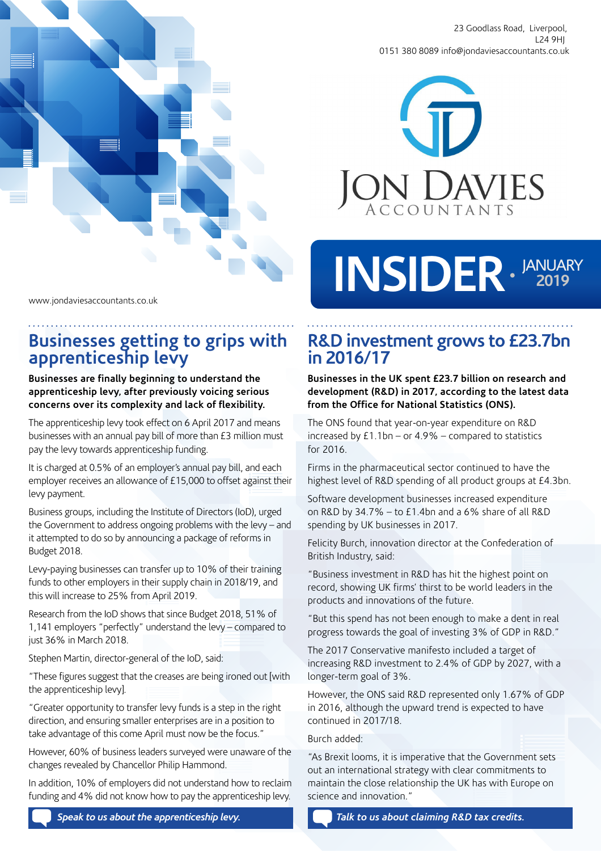

23 Goodlass Road, Liverpool, L24 9HJ 0151 380 8089 info@jondaviesaccountants.co.uk



### www.jondaviesaccountants.co.uk

# **Businesses getting to grips with apprenticeship levy**

#### **Businesses are finally beginning to understand the apprenticeship levy, after previously voicing serious concerns over its complexity and lack of flexibility.**

The apprenticeship levy took effect on 6 April 2017 and means businesses with an annual pay bill of more than £3 million must pay the levy towards apprenticeship funding.

It is charged at 0.5% of an employer's annual pay bill, and each employer receives an allowance of £15,000 to offset against their levy payment.

Business groups, including the Institute of Directors (IoD), urged the Government to address ongoing problems with the levy – and it attempted to do so by announcing a package of reforms in Budget 2018.

Levy-paying businesses can transfer up to 10% of their training funds to other employers in their supply chain in 2018/19, and this will increase to 25% from April 2019.

Research from the IoD shows that since Budget 2018, 51% of 1,141 employers "perfectly" understand the levy – compared to just 36% in March 2018.

Stephen Martin, director-general of the IoD, said:

"These figures suggest that the creases are being ironed out [with the apprenticeship levy].

"Greater opportunity to transfer levy funds is a step in the right direction, and ensuring smaller enterprises are in a position to take advantage of this come April must now be the focus."

However, 60% of business leaders surveyed were unaware of the changes revealed by Chancellor Philip Hammond.

In addition, 10% of employers did not understand how to reclaim funding and 4% did not know how to pay the apprenticeship levy.

**R&D investment grows to £23.7bn in 2016/17**

INSIDER · <sup>JANUARY</sup>

**Businesses in the UK spent £23.7 billion on research and development (R&D) in 2017, according to the latest data from the Office for National Statistics (ONS).**

The ONS found that year-on-year expenditure on R&D increased by £1.1bn – or 4.9% – compared to statistics for 2016.

Firms in the pharmaceutical sector continued to have the highest level of R&D spending of all product groups at £4.3bn.

Software development businesses increased expenditure on R&D by 34.7% – to £1.4bn and a 6% share of all R&D spending by UK businesses in 2017.

Felicity Burch, innovation director at the Confederation of British Industry, said:

"Business investment in R&D has hit the highest point on record, showing UK firms' thirst to be world leaders in the products and innovations of the future.

"But this spend has not been enough to make a dent in real progress towards the goal of investing 3% of GDP in R&D."

The 2017 Conservative manifesto included a target of increasing R&D investment to 2.4% of GDP by 2027, with a longer-term goal of 3%.

However, the ONS said R&D represented only 1.67% of GDP in 2016, although the upward trend is expected to have continued in 2017/18.

#### Burch added:

"As Brexit looms, it is imperative that the Government sets out an international strategy with clear commitments to maintain the close relationship the UK has with Europe on science and innovation."